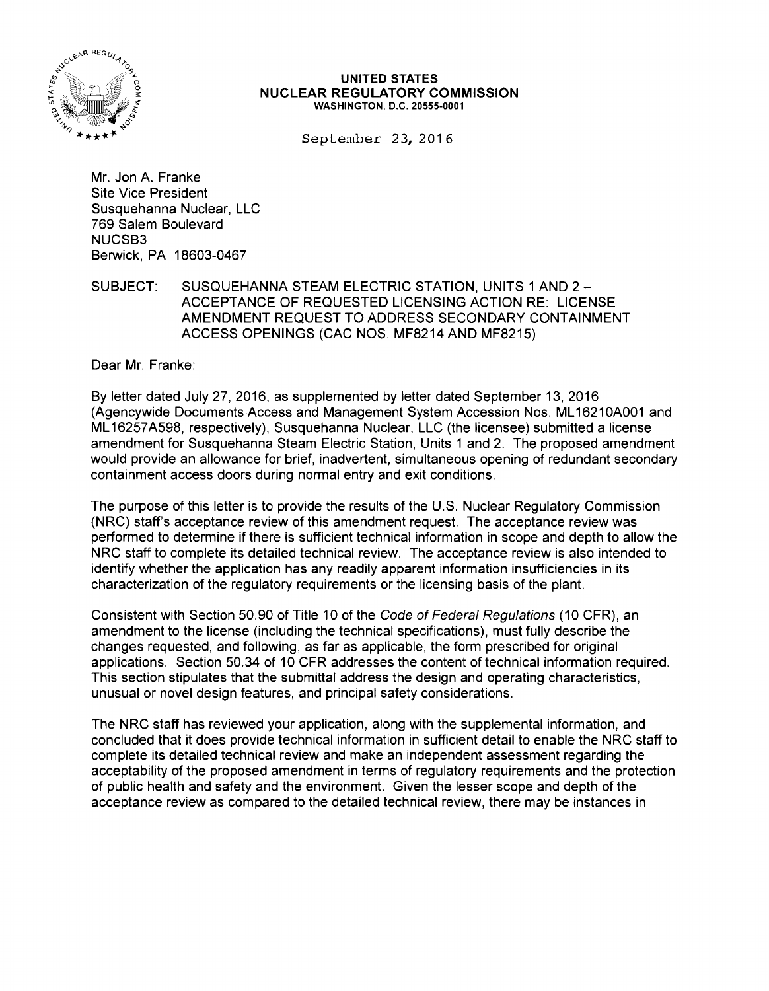

## UNITED STATES NUCLEAR REGULATORY COMMISSION WASHINGTON, D.C. 20555-0001

September 23, 2016

Mr. Jon A. Franke Site Vice President Susquehanna Nuclear, LLC 769 Salem Boulevard NUCSB3 Berwick, PA 18603-0467

SUBJECT: SUSQUEHANNA STEAM ELECTRIC STATION, UNITS 1 AND 2 -ACCEPTANCE OF REQUESTED LICENSING ACTION RE: LICENSE AMENDMENT REQUEST TO ADDRESS SECONDARY CONTAINMENT ACCESS OPENINGS (CAC NOS. MF8214 AND MF8215)

Dear Mr. Franke:

By letter dated July 27, 2016, as supplemented by letter dated September 13, 2016 (Agencywide Documents Access and Management System Accession Nos. ML 16210A001 and ML 16257 A598, respectively), Susquehanna Nuclear, LLC (the licensee) submitted a license amendment for Susquehanna Steam Electric Station, Units 1 and 2. The proposed amendment would provide an allowance for brief, inadvertent, simultaneous opening of redundant secondary containment access doors during normal entry and exit conditions.

The purpose of this letter is to provide the results of the U.S. Nuclear Regulatory Commission (NRC) staff's acceptance review of this amendment request. The acceptance review was performed to determine if there is sufficient technical information in scope and depth to allow the NRC staff to complete its detailed technical review. The acceptance review is also intended to identify whether the application has any readily apparent information insufficiencies in its characterization of the regulatory requirements or the licensing basis of the plant.

Consistent with Section 50.90 of Title 10 of the Code of Federal Regulations (10 CFR), an amendment to the license (including the technical specifications), must fully describe the changes requested, and following, as far as applicable, the form prescribed for original applications. Section 50.34 of 10 CFR addresses the content of technical information required. This section stipulates that the submittal address the design and operating characteristics, unusual or novel design features, and principal safety considerations.

The NRC staff has reviewed your application, along with the supplemental information, and concluded that it does provide technical information in sufficient detail to enable the NRC staff to complete its detailed technical review and make an independent assessment regarding the acceptability of the proposed amendment in terms of regulatory requirements and the protection of public health and safety and the environment. Given the lesser scope and depth of the acceptance review as compared to the detailed technical review, there may be instances in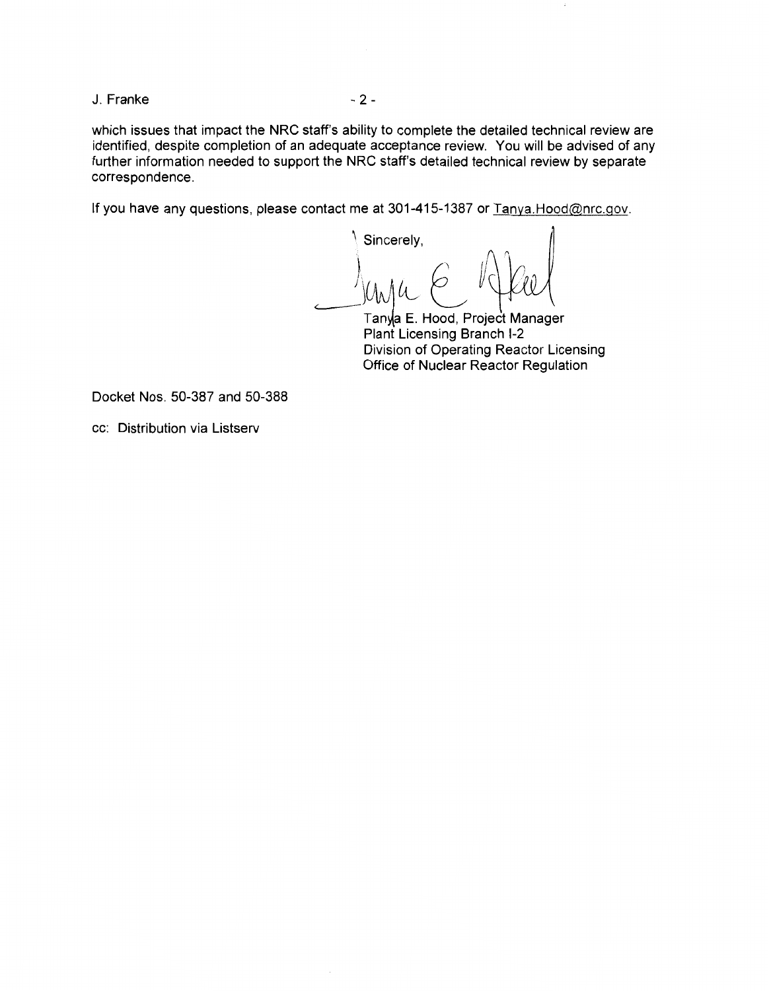J. Franke - 2 -

which issues that impact the NRC staff's ability to complete the detailed technical review are identified, despite completion of an adequate acceptance review. You will be advised of any further information needed to support the NRC staff's detailed technical review by separate correspondence.

If you have any questions, please contact me at 301-415-1387 or Tanya.Hood@nrc.gov.

Sincerely,  $\int_{(1,1)}/(1,1)dx$ 

Tanya E. Hood, Project Manager Plant Licensing Branch 1-2 Division of Operating Reactor Licensing Office of Nuclear Reactor Regulation

Docket Nos. 50-387 and 50-388

cc: Distribution via Listserv